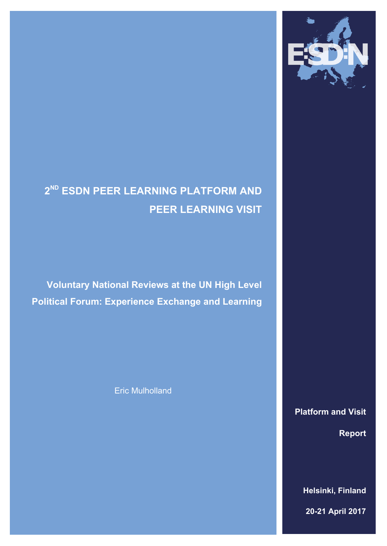

# **2 ND ESDN PEER LEARNING PLATFORM AND PEER LEARNING VISIT**

**Voluntary National Reviews at the UN High Level Political Forum: Experience Exchange and Learning**

Eric Mulholland

**Platform and Visit Report**

**2016 Helsinki, Finland**

**20-21 April 2017**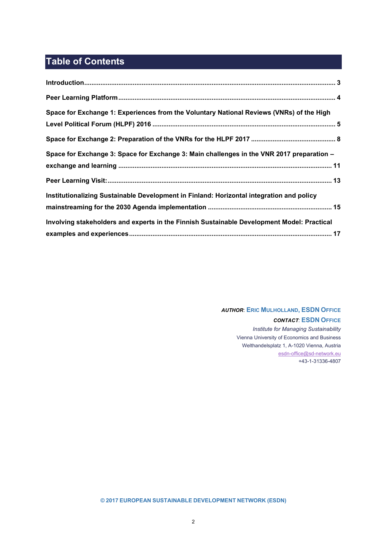## **Table of Contents**

| Space for Exchange 1: Experiences from the Voluntary National Reviews (VNRs) of the High   |  |
|--------------------------------------------------------------------------------------------|--|
|                                                                                            |  |
| Space for Exchange 3: Space for Exchange 3: Main challenges in the VNR 2017 preparation -  |  |
|                                                                                            |  |
|                                                                                            |  |
| Institutionalizing Sustainable Development in Finland: Horizontal integration and policy   |  |
|                                                                                            |  |
| Involving stakeholders and experts in the Finnish Sustainable Development Model: Practical |  |
|                                                                                            |  |

### *AUTHOR*: **ERIC MULHOLLAND, ESDN OFFICE** *CONTACT*: **ESDN OFFICE**

*Institute for Managing Sustainability* Vienna University of Economics and Business Welthandelsplatz 1, A-1020 Vienna, Austria [esdn-office@sd-network.eu](mailto:esdn-office@sd-network.eu) +43-1-31336-4807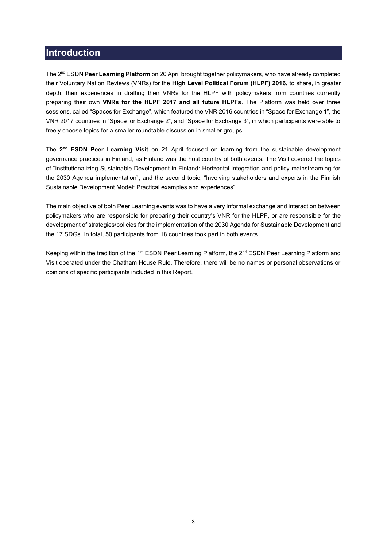### <span id="page-2-0"></span>**Introduction**

The 2nd ESDN **Peer Learning Platform** on 20 April brought together policymakers, who have already completed their Voluntary Nation Reviews (VNRs) for the **High Level Political Forum (HLPF) 2016,** to share, in greater depth, their experiences in drafting their VNRs for the HLPF with policymakers from countries currently preparing their own **VNRs for the HLPF 2017 and all future HLPFs**. The Platform was held over three sessions, called"Spaces for Exchange", which featured the VNR 2016 countries in "Space for Exchange 1", the VNR 2017 countries in "Space for Exchange 2", and "Space for Exchange 3", in which participants were able to freely choose topics for a smaller roundtable discussion in smaller groups.

The 2<sup>nd</sup> ESDN Peer Learning Visit on 21 April focused on learning from the sustainable development governance practices in Finland, as Finland was the host country of both events. The Visit covered the topics of "Institutionalizing Sustainable Development in Finland: Horizontal integration and policy mainstreaming for the 2030 Agenda implementation", and the second topic, "Involving stakeholders and experts in the Finnish Sustainable Development Model: Practical examples and experiences".

The main objective of both Peer Learning events was to have a very informal exchange and interaction between policymakers who are responsible for preparing their country's VNR for the HLPF, or are responsible for the development of strategies/policies for the implementation of the 2030 Agenda for Sustainable Development and the 17 SDGs. In total, 50 participants from 18 countries took part in both events.

Keeping within the tradition of the 1<sup>st</sup> ESDN Peer Learning Platform, the 2<sup>nd</sup> ESDN Peer Learning Platform and Visit operated under the Chatham House Rule. Therefore, there will be no names or personal observations or opinions of specific participants included in this Report.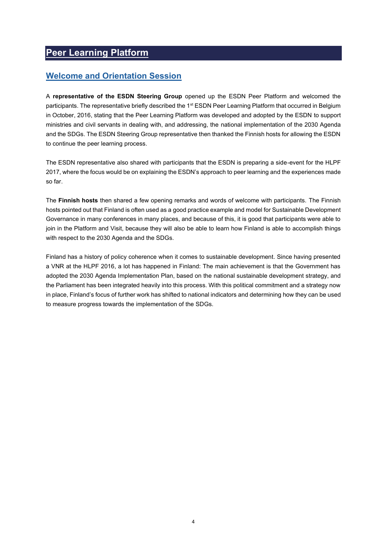### <span id="page-3-0"></span>**Peer Learning Platform**

### **Welcome and Orientation Session**

A **representative of the ESDN Steering Group** opened up the ESDN Peer Platform and welcomed the participants. The representative briefly described the 1<sup>st</sup> ESDN Peer Learning Platform that occurred in Belgium in October, 2016, stating that the Peer Learning Platform was developed and adopted by the ESDN to support ministries and civil servants in dealing with, and addressing, the national implementation of the 2030 Agenda and the SDGs. The ESDN Steering Group representative then thanked the Finnish hosts for allowing the ESDN to continue the peer learning process.

The ESDN representative also shared with participants that the ESDN is preparing a side-event for the HLPF 2017, where the focus would be on explaining the ESDN's approach to peer learningand the experiences made so far.

The **Finnish hosts** then shared a few opening remarks and words of welcome with participants. The Finnish hosts pointed out that Finland is often used as a good practice example and model for Sustainable Development Governance in many conferences in many places, and because of this, it is good that participants were able to join in the Platform and Visit, because they will also be able to learn how Finland is able to accomplish things with respect to the 2030 Agenda and the SDGs.

Finland has a history of policy coherence when it comes to sustainable development. Since having presented a VNR at the HLPF 2016, a lot has happened in Finland: The main achievement is that the Government has adopted the 2030 Agenda Implementation Plan, based on the national sustainable development strategy, and the Parliament has been integrated heavily into this process. With this political commitment and a strategy now in place, Finland's focus of further work has shifted to national indicatorsand determining how they can be used to measure progress towards the implementation of the SDGs.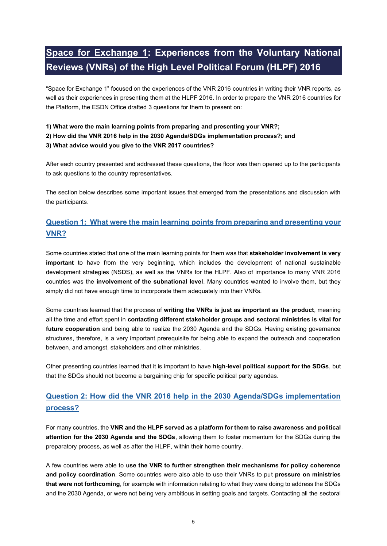## <span id="page-4-0"></span>**Space for Exchange 1: Experiences from the Voluntary National Reviews (VNRs) of the High Level Political Forum (HLPF) 2016**

"Space for Exchange 1" focused on the experiences of the VNR 2016 countries in writing their VNR reports, as well as their experiences in presenting them at the HLPF 2016. In order to prepare the VNR 2016 countries for the Platform, the ESDN Office drafted 3 questions for them to present on:

#### **1) What were the main learning points from preparing and presenting your VNR?;**

#### **2) How did the VNR 2016 help in the 2030 Agenda/SDGs implementation process?; and**

#### **3) What advice would you give to the VNR 2017 countries?**

After each country presented and addressed these questions, the floor was then opened up to the participants to ask questions to the country representatives.

The section below describes some important issues that emerged from the presentations and discussion with the participants.

### **Question 1: What were the main learning points from preparing and presenting your VNR?**

Some countries stated that one of the main learning points for them was that **stakeholder involvement is very important** to have from the very beginning, which includes the development of national sustainable development strategies (NSDS), as well as the VNRs for the HLPF. Also of importance to many VNR 2016 countries was the **involvement of the subnational level**. Many countries wanted to involve them, but they simply did not have enough time to incorporate them adequately into their VNRs.

Some countries learned that the process of **writing the VNRs is just as important as the product**, meaning all the time and effort spent in **contacting different stakeholder groups and sectoral ministries is vital for future cooperation** and being able to realize the 2030 Agenda and the SDGs. Having existing governance structures, therefore, is a very important prerequisite for being able to expand the outreach and cooperation between, and amongst, stakeholders and other ministries.

Other presenting countries learned that it is important to have **high-level political support for the SDGs**, but that the SDGs should not become a bargaining chip for specific political party agendas.

### **Question 2: How did the VNR 2016 help in the 2030 Agenda/SDGs implementation process?**

For many countries, the **VNR and the HLPF served as a platform for them to raise awareness and political attention for the 2030 Agenda and the SDGs**, allowing them to foster momentum for the SDGs during the preparatory process, as well as after the HLPF, within their home country.

A few countries were able to **use the VNR to further strengthen their mechanisms for policy coherence and policy coordination**. Some countries were also able to use their VNRs to put **pressure on ministries that were not forthcoming**, for example with information relating to what they were doing to address the SDGs and the 2030 Agenda, or were not being very ambitious in setting goals and targets. Contacting all the sectoral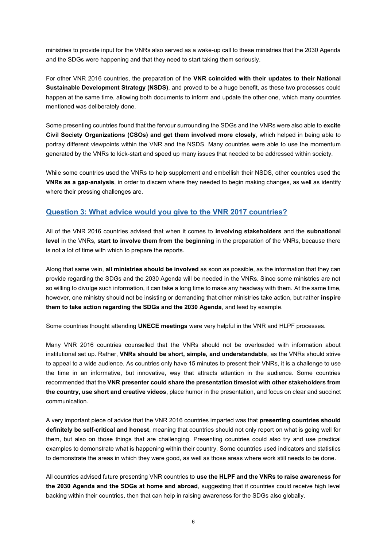ministries to provide input for the VNRs also served as a wake-up call to these ministries that the 2030 Agenda and the SDGs were happening and that they need to start taking them seriously.

For other VNR 2016 countries, the preparation of the **VNR coincided with their updates to their National Sustainable Development Strategy (NSDS)**, and proved to be a huge benefit, as these two processes could happen at the same time, allowing both documents to inform and update the other one, which many countries mentioned was deliberately done.

Some presenting countries found that the fervour surrounding the SDGs and the VNRs were also able to **excite Civil Society Organizations (CSOs) and get them involved more closely**, which helped in being able to portray different viewpoints within the VNR and the NSDS. Many countries were able to use the momentum generated by the VNRs to kick-start and speed up many issues that needed to be addressed within society.

While some countries used the VNRs to help supplement and embellish their NSDS, other countries used the **VNRs as a gap-analysis**, in order to discern where they needed to begin making changes, as well as identify where their pressing challenges are.

### **Question 3: What advice would you give to the VNR 2017 countries?**

All of the VNR 2016 countries advised that when it comes to **involving stakeholders** and the **subnational level** in the VNRs, **start to involve them from the beginning** in the preparation of the VNRs, because there is not a lot of time with which to prepare the reports.

Along that same vein, **all ministries should be involved** as soon as possible, as the information that they can provide regarding the SDGs and the 2030 Agenda will be needed in the VNRs. Since some ministries are not so willing to divulge such information, it can take a long time to make any headway with them. At the same time, however, one ministry should not be insisting or demanding that other ministries take action, but rather *inspire* **them to take action regarding the SDGs and the 2030 Agenda**, and lead by example.

Some countries thought attending **UNECE meetings** were very helpful in the VNR and HLPF processes.

Many VNR 2016 countries counselled that the VNRs should not be overloaded with information about institutional set up. Rather, **VNRs should be short, simple, and understandable**, as the VNRs should strive to appeal to a wide audience. As countries only have 15 minutes to present their VNRs, it is a challenge to use the time in an informative, but innovative, way that attracts attention in the audience. Some countries recommended that the **VNR presenter could share the presentation timeslot with other stakeholders from the country, use short and creative videos**, place humor in the presentation, and focus on clear and succinct communication.

A very important piece of advice that the VNR 2016 countries imparted was that **presenting countries should definitely be self-critical and honest**, meaning that countries should not only report on what is going well for them, but also on those things that are challenging. Presenting countries could also try and use practical examples to demonstrate what is happening within their country. Some countries used indicators and statistics to demonstrate the areas in which they were good, as well as those areas where work still needs to be done.

All countries advised future presenting VNR countries to **use the HLPF and the VNRs to raise awareness for the 2030 Agenda and the SDGs at home and abroad**, suggesting that if countries could receive high level backing within their countries, then that can help in raising awareness for the SDGs also globally.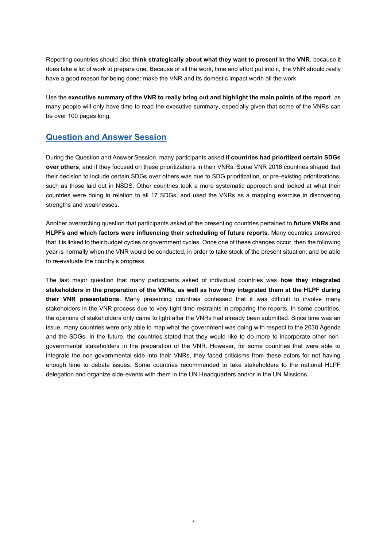Reporting countries should also think strategically about what they want to present in the VNR, because it does take a lot of work to prepare one. Because of all the work, time and effort put into it, the VNR should really have a good reason for being done: make the VNR and its domestic impact worth all the work.

Use the **executive summary of the VNR to really bring out and highlight the main points of the report**, as many people will only have time to read the executive summary, especially given that some of the VNRs can be over 100 pages long.

### **Question and Answer Session**

During the Question and Answer Session, many participants asked **if countries had prioritized certain SDGs over others**, and if they focused on these prioritizations in their VNRs. Some VNR 2016 countries shared that their decision to include certain SDGs over others was due to SDG prioritization, or pre-existing prioritizations, such as those laid out in NSDS. Other countries took a more systematic approach and looked at what their countries were doing in relation to all 17 SDGs, and used the VNRs as a mapping exercise in discovering strengths and weaknesses.

Another overarching question that participants asked of the presenting countries pertained to **future VNRs and HLPFs and which factors were influencing their scheduling of future reports**. Many countries answered that it is linked to their budget cycles or government cycles. Once one of these changes occur, then the following year is normally when the VNR would be conducted, in order to take stock of the present situation, and be able to re-evaluate the country's progress.

The last major question that many participants asked of individual countries was **how they integrated stakeholders in the preparation of the VNRs, as well as how they integrated them at the HLPF during their VNR presentations**. Many presenting countries confessed that it was difficult to involve many stakeholders in the VNR process due to very tight time restraints in preparing the reports. In some countries, the opinions of stakeholders only came to light after the VNRs had already been submitted. Since time was an issue, many countries were only able to map what the government was doing with respect to the 2030 Agenda and the SDGs. In the future, the countries stated that they would like to do more to incorporate other nongovernmental stakeholders in the preparation of the VNR. However, for some countries that were able to integrate the non-governmental side into their VNRs, they faced criticisms from these actors for not having enough time to debate issues. Some countries recommended to take stakeholders to the national HLPF delegation and organize side-events with them in the UN Headquarters and/or in the UN Missions.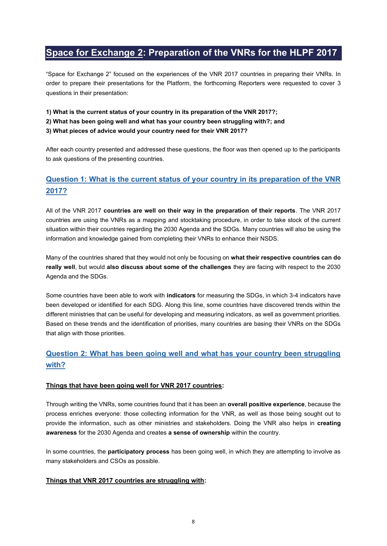### <span id="page-7-0"></span>**Space for Exchange 2: Preparation of the VNRs for the HLPF 2017**

"Space for Exchange 2" focused on the experiences of the VNR 2017 countries in preparing their VNRs. In order to prepare their presentations for the Platform, the forthcoming Reporters were requested to cover 3 questions in their presentation:

- **1) What is the current status of your country in its preparation of the VNR 2017?;**
- **2) What has been going well and what has your country been struggling with?;and**

#### **3) What pieces of advice would your country need for their VNR 2017?**

After each country presented and addressed these questions, the floor was then opened up to the participants to ask questions of the presenting countries.

### **Question 1: What is the current status of your country in its preparation of the VNR 2017?**

All of the VNR 2017 **countries are well on their way in the preparation of their reports**. The VNR 2017 countries are using the VNRs as a mapping and stocktaking procedure, in order to take stock of the current situation within their countries regarding the 2030 Agenda and the SDGs. Many countries will also be using the information and knowledge gained from completing their VNRs to enhance their NSDS.

Many of the countries shared that they would not only be focusing on **what their respective countries can do really well**, but would **also discuss about some of the challenges** they are facing with respect to the 2030 Agenda and the SDGs.

Some countries have been able to work with **indicators** for measuring the SDGs, in which 3-4 indicators have been developed or identified for each SDG. Along this line, some countries have discovered trends within the different ministries that can be useful for developing and measuring indicators, as well as government priorities. Based on these trends and the identification of priorities, many countries are basing their VNRs on the SDGs that align with those priorities.

### **Question 2: What has been going well and what has your country been struggling with?**

#### **Things that have been going well for VNR 2017 countries:**

Through writing the VNRs, some countries found that it has been an **overall positive experience**, because the process enriches everyone: those collecting information for the VNR, as well as those being sought out to provide the information, such as other ministries and stakeholders. Doing the VNR also helps in **creating awareness** for the 2030 Agenda and creates **a sense of ownership** within the country.

In some countries, the **participatory process** has been going well, in which they are attempting to involve as many stakeholders and CSOs as possible.

#### **Things that VNR 2017 countries are struggling with:**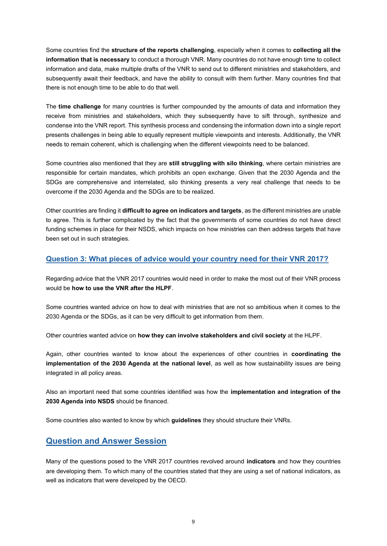Some countries find the **structure of the reports challenging**, especially when it comes to **collecting all the information that is necessary**to conduct a thorough VNR. Many countries do not have enough time to collect information and data, make multiple drafts of the VNR to send out to different ministries and stakeholders, and subsequently await their feedback, and have the ability to consult with them further. Many countries find that there is not enough time to be able to do that well.

The **time challenge** for many countries is further compounded by the amounts of data and information they receive from ministries and stakeholders, which they subsequently have to sift through, synthesize and condense into the VNR report. This synthesis process and condensing the information down into a single report presents challenges in being able to equally represent multiple viewpoints and interests. Additionally, the VNR needs to remain coherent, which is challenging when the different viewpoints need to be balanced.

Some countries also mentioned that they are **still struggling with silo thinking**, where certain ministries are responsible for certain mandates, which prohibits an open exchange. Given that the 2030 Agenda and the SDGs are comprehensive and interrelated, silo thinking presents a very real challenge that needs to be overcome if the 2030 Agenda and the SDGs are to be realized.

Other countries are finding it **difficult to agree on indicators and targets**, as the different ministries are unable to agree. This is further complicated by the fact that the governments of some countries do not have direct funding schemes in place for their NSDS, which impacts on how ministries can then address targets that have been set out in such strategies.

### **Question 3: What pieces of advice would your country need for their VNR 2017?**

Regarding advice that the VNR 2017 countries would need in order to make the most out of their VNR process would be **how to use the VNR after the HLPF**.

Some countries wanted advice on how to deal with ministries that are not so ambitious when it comes to the 2030 Agenda or the SDGs, as it can be very difficult to get information from them.

Other countries wanted advice on **how they can involve stakeholders and civil society** at the HLPF.

Again, other countries wanted to know about the experiences of other countries in **coordinating the implementation of the 2030 Agenda at the national level**, as well as how sustainability issues are being integrated in all policy areas.

Also an important need that some countries identified was how the **implementation and integration of the 2030 Agenda into NSDS** should be financed.

Some countries also wanted to know by which **guidelines** they should structure their VNRs.

### **Question and Answer Session**

Many of the questions posed to the VNR 2017 countries revolved around **indicators** and how they countries are developing them. To which many of the countries stated that they are using a set of national indicators, as well as indicators that were developed by the OECD.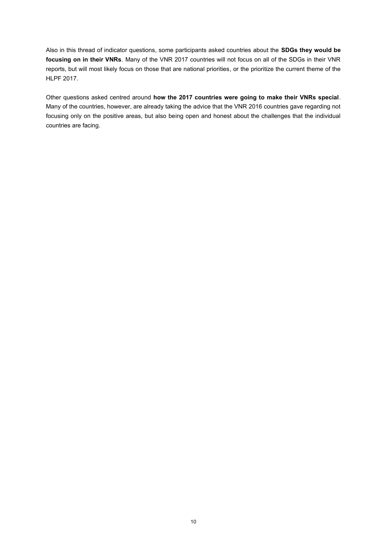Also in this thread of indicator questions, some participants asked countries about the **SDGs they would be focusing on in their VNRs**. Many of the VNR 2017 countries will not focus on all of the SDGs in their VNR reports, but will most likely focus on those that are national priorities, or the prioritize the current theme of the HLPF 2017.

Other questions asked centred around **how the 2017 countries were going to make their VNRs special**. Many of the countries, however, are already taking the advice that the VNR 2016 countries gave regarding not focusing only on the positive areas, but also being open and honest about the challenges that the individual countries are facing.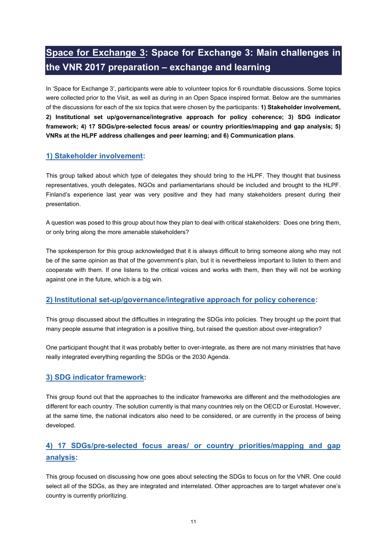## <span id="page-10-0"></span>**Space for Exchange 3: Space for Exchange 3: Main challenges in the VNR 2017 preparation – exchange and learning**

In 'Space for Exchange 3', participants were able to volunteer topics for 6 roundtable discussions. Some topics were collected prior to the Visit, as well as during in an Open Space inspired format. Below are the summaries of the discussions for each of the six topics that were chosen by the participants: **1) Stakeholder involvement, 2) Institutional set up/governance/integrative approach for policy coherence; 3) SDG indicator framework; 4) 17 SDGs/pre-selected focus areas/ or country priorities/mapping and gap analysis; 5) VNRs at the HLPF address challenges and peer learning; and 6) Communication plans**.

### **1) Stakeholder involvement:**

This group talked about which type of delegates they should bring to the HLPF. They thought that business representatives, youth delegates, NGOs and parliamentarians should be included and brought to the HLPF. Finland's experience last year was very positive and they had many stakeholders present during their presentation.

A question was posed to this group about how they plan to deal with critical stakeholders: Does one bring them, or only bring along the more amenable stakeholders?

The spokesperson for this group acknowledged that it is always difficult to bring someone along who may not be of the same opinion as that of the government's plan, but it is nevertheless important to listen to them and cooperate with them. If one listens to the critical voices and works with them, then they will not be working against one in the future, which is a big win.

### **2) Institutional set-up/governance/integrative approach for policy coherence:**

This group discussed about the difficulties in integrating the SDGs into policies. They brought up the point that many people assume that integration is a positive thing, but raised the question about over-integration?

One participant thought that it was probably better to over-integrate, as there are not many ministries that have really integrated everything regarding the SDGs or the 2030 Agenda.

### **3) SDG indicator framework:**

This group found out that the approaches to the indicator frameworks are different and the methodologies are different for each country. The solution currently is that many countries rely on the OECD or Eurostat. However, at the same time, the national indicators also need to be considered, or are currently in the process of being developed.

### **4) 17 SDGs/pre-selected focus areas/ or country priorities/mapping and gap analysis:**

This group focused on discussing how one goes about selecting the SDGs to focus on for the VNR. One could select all of the SDGs, as they are integrated and interrelated. Other approaches are to target whatever one's country is currently prioritizing.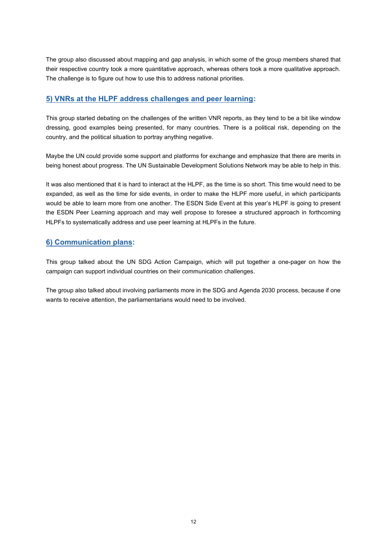The group also discussed about mapping and gap analysis, in which some of the group members shared that their respective country took a more quantitative approach, whereas others took a more qualitative approach. The challenge is to figure out how to use this to address national priorities.

### **5) VNRs at the HLPF address challenges and peer learning:**

This group started debating on the challenges of the written VNR reports, as they tend to be a bit like window dressing, good examples being presented, for many countries. There is a political risk, depending on the country, and the political situation to portray anything negative.

Maybe the UN could provide some support and platforms for exchange and emphasize that there are merits in being honest about progress. The UN Sustainable Development Solutions Network may be able to help in this.

It was also mentioned that it is hard to interact at the HLPF, as the time is so short. This time would need to be expanded, as well as the time for side events, in order to make the HLPF more useful, in which participants would be able to learn more from one another. The ESDN Side Event at this year's HLPF is going to present the ESDN Peer Learning approach and may well propose to foresee a structured approach in forthcoming HLPFs to systematically address and use peer learning at HLPFs in the future.

### **6) Communication plans:**

This group talked about the UN SDG Action Campaign, which will put together a one-pager on how the campaign can support individual countries on their communication challenges.

The group also talked about involving parliaments more in the SDG and Agenda 2030 process, because if one wants to receive attention, the parliamentarians would need to be involved.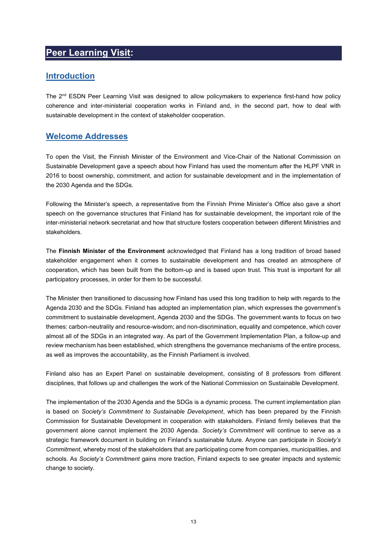### <span id="page-12-0"></span>**Peer Learning Visit:**

### **Introduction**

The  $2^{nd}$  ESDN Peer Learning Visit was designed to allow policymakers to experience first-hand how policy coherence and inter-ministerial cooperation works in Finland and, in the second part, how to deal with sustainable development in the context of stakeholder cooperation.

### **Welcome Addresses**

To open the Visit, the Finnish Minister of the Environment and Vice-Chair of the National Commission on Sustainable Development gave a speech about how Finland has used the momentum after the HLPF VNR in 2016 to boost ownership, commitment, and action for sustainable development and in the implementation of the 2030 Agenda and the SDGs.

Following the Minister's speech, a representative from the Finnish Prime Minister's Office also gave a short speech on the governance structures that Finland has for sustainable development, the important role of the inter-ministerial network secretariat and how that structure fosters cooperation between different Ministries and stakeholders.

The **Finnish Minister of the Environment** acknowledged that Finland has a long tradition of broad based stakeholder engagement when it comes to sustainable development and has created an atmosphere of cooperation, which has been built from the bottom-up and is based upon trust. This trust is important for all participatory processes, in order for them to be successful.

The Minister then transitioned to discussing how Finland has used this long tradition to help with regards to the Agenda 2030 and the SDGs. Finland has adopted an implementation plan, which expresses the government's commitment to sustainable development, Agenda 2030 and the SDGs. The government wants to focus on two themes: carbon-neutrality and resource-wisdom; and non-discrimination, equality and competence, which cover almost all of the SDGs in an integrated way. As part of the Government Implementation Plan, a follow-up and review mechanism has been established, which strengthens the governance mechanismsof the entire process, as well as improves the accountability, as the Finnish Parliament is involved.

Finland also has an Expert Panel on sustainable development, consisting of 8 professors from different disciplines, that follows up and challenges the work of the National Commission on Sustainable Development.

The implementation of the 2030 Agenda and the SDGs is a dynamic process. The current implementation plan is based on *Society's Commitment to Sustainable Development*, which has been prepared by the Finnish Commission for Sustainable Development in cooperation with stakeholders. Finland firmly believes that the government alone cannot implement the 2030 Agenda. *Society's Commitment* will continue to serve as a strategic framework document in building on Finland's sustainable future. Anyone can participate in *Society's Commitment*, whereby most of the stakeholders that are participating come from companies, municipalities, and schools. As *Society's Commitment* gains more traction, Finland expects to see greater impacts and systemic change to society.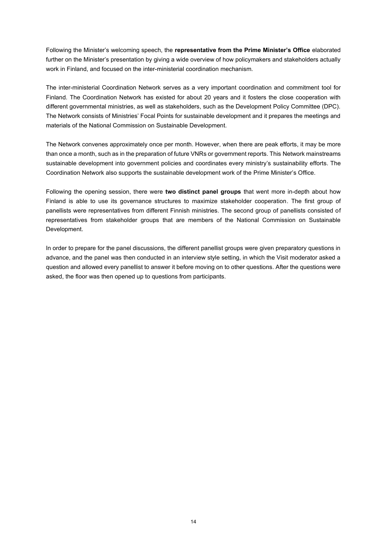Following the Minister's welcoming speech, the **representative from the Prime Minister's Office** elaborated further on the Minister's presentation by giving a wide overview of how policymakers and stakeholders actually work in Finland, and focused on the inter-ministerial coordination mechanism.

The inter-ministerial Coordination Network serves as a very important coordination and commitment tool for Finland. The Coordination Network has existed for about 20 years and it fosters the close cooperation with different governmental ministries, as well as stakeholders, such as the Development Policy Committee (DPC). The Network consists of Ministries' Focal Points for sustainable development and it prepares the meetings and materials of the National Commission on Sustainable Development.

The Network convenes approximately once per month. However, when there are peak efforts, it may be more than once a month, such as in the preparation of future VNRs or government reports. This Network mainstreams sustainable development into government policies and coordinates every ministry's sustainability efforts. The Coordination Network also supports the sustainable development work of the Prime Minister's Office.

Following the opening session, there were **two distinct panel groups** that went more in-depth about how Finland is able to use its governance structures to maximize stakeholder cooperation. The first group of panellists were representatives from different Finnish ministries. The second group of panellists consisted of representatives from stakeholder groups that are members of the National Commission on Sustainable Development.

In order to prepare for the panel discussions, the different panellist groups were given preparatory questions in advance, and the panel was then conducted in an interview style setting, in which the Visit moderator asked a question and allowed every panellist to answer it before moving on to other questions. After the questions were asked, the floor was then opened up to questions from participants.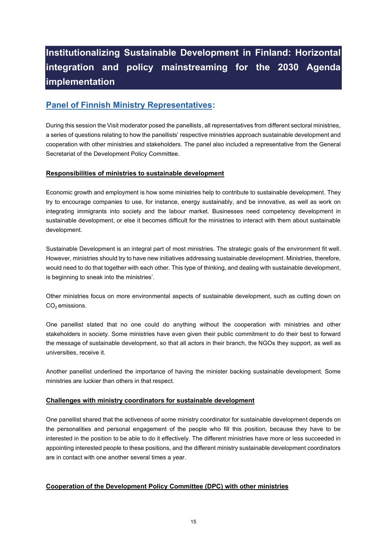## <span id="page-14-0"></span>**Institutionalizing Sustainable Development in Finland: Horizontal integration and policy mainstreaming for the 2030 Agenda implementation**

### **Panel of Finnish Ministry Representatives:**

During this session the Visit moderator posed the panellists, all representatives from different sectoral ministries, a series of questions relating to how the panellists' respective ministries approach sustainable development and cooperation with other ministries and stakeholders. The panel also included a representative from the General Secretariat of the Development Policy Committee.

#### **Responsibilities of ministries to sustainable development**

Economic growth and employment is how some ministries help to contribute to sustainable development. They try to encourage companies to use, for instance, energy sustainably, and be innovative, as well as work on integrating immigrants into society and the labour market. Businesses need competency development in sustainable development, or else it becomes difficult for the ministries to interact with them about sustainable development.

Sustainable Development is an integral part of most ministries. The strategic goals of the environment fit well. However, ministries should try to have new initiatives addressing sustainable development. Ministries, therefore, would need to do that together with each other. This type of thinking, and dealing with sustainable development, is beginning to sneak into the ministries'.

Other ministries focus on more environmental aspects of sustainable development, such as cutting down on  $CO<sub>2</sub>$  emissions.

One panellist stated that no one could do anything without the cooperation with ministries and other stakeholders in society. Some ministries have even given their public commitment to do their best to forward the message of sustainable development, so that all actors in their branch, the NGOs they support, as well as universities, receive it.

Another panellist underlined the importance of having the minister backing sustainable development. Some ministries are luckier than others in that respect.

#### **Challenges with ministry coordinators for sustainable development**

One panellist shared that the activeness of some ministry coordinator for sustainable development depends on the personalities and personal engagement of the people who fill this position, because they have to be interested in the position to be able to do it effectively. The different ministries have more or less succeeded in appointing interested people to these positions, and the different ministry sustainable development coordinators are in contact with one another several times a year.

#### **Cooperation of the Development Policy Committee (DPC) with other ministries**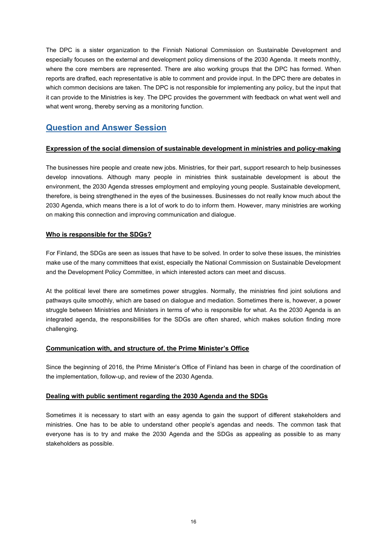The DPC is a sister organization to the Finnish National Commission on Sustainable Development and especially focuses on the external and development policy dimensions of the 2030 Agenda. It meets monthly, where the core members are represented. There are also working groups that the DPC has formed. When reports are drafted, each representative is able to comment and provide input. In the DPC there are debates in which common decisions are taken. The DPC is not responsible for implementing any policy, but the input that it can provide to the Ministries is key. The DPC provides the government with feedback on what went well and what went wrong, thereby serving as a monitoring function.

### **Question and Answer Session**

#### **Expression of the social dimension of sustainable development in ministries and policy-making**

The businesses hire people and create new jobs. Ministries, for their part, support research to help businesses develop innovations. Although many people in ministries think sustainable development is about the environment, the 2030 Agenda stresses employment and employing young people. Sustainable development, therefore, is being strengthened in the eyes of the businesses. Businesses do not really know much about the 2030 Agenda, which means there is a lot of work to do to inform them. However, many ministries are working on making this connection andimproving communication and dialogue.

#### **Who is responsible for the SDGs?**

For Finland, the SDGs are seen as issues that have to be solved. In order to solve these issues, the ministries make use of the many committees that exist, especially the National Commission on Sustainable Development and the Development Policy Committee, in which interested actors can meet and discuss.

At the political level there are sometimes power struggles. Normally, the ministries find joint solutions and pathways quite smoothly, which are based on dialogue and mediation. Sometimes there is, however, a power struggle between Ministries and Ministers in terms of who is responsible for what. As the 2030 Agenda is an integrated agenda, the responsibilities for the SDGs are often shared, which makes solution finding more challenging.

#### **Communication with, and structure of, the Prime Minister's Office**

Since the beginning of 2016, the Prime Minister's Office of Finland has been in charge of the coordination of the implementation, follow-up, and review of the 2030 Agenda.

#### **Dealing with public sentiment regarding the 2030 Agenda and the SDGs**

Sometimes it is necessary to start with an easy agenda to gain the support of different stakeholders and ministries. One has to be able to understand other people's agendas and needs. The common task that everyone has is to try and make the 2030 Agenda and the SDGs as appealing as possible to as many stakeholders as possible.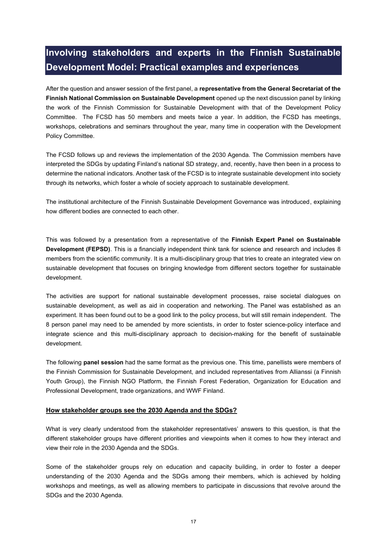## <span id="page-16-0"></span>**Involving stakeholders and experts in the Finnish Sustainable Development Model: Practical examples and experiences**

After the question and answer session of the first panel, a **representative from the General Secretariat of the Finnish National Commission on Sustainable Development** opened up the next discussion panel by linking the work of the Finnish Commission for Sustainable Development with that of the Development Policy Committee. The FCSD has 50 members and meets twice a year. In addition, the FCSD has meetings, workshops, celebrations and seminars throughout the year, many time in cooperation with the Development Policy Committee.

The FCSD follows up and reviews the implementation of the 2030 Agenda. The Commission members have interpreted the SDGs by updating Finland's national SD strategy, and, recently, have then been in a process to determine the national indicators. Another task of the FCSD is to integrate sustainable development into society through its networks, which foster a whole of society approach to sustainable development.

The institutional architecture of the Finnish Sustainable Development Governance was introduced, explaining how different bodies are connected to each other.

This was followed by a presentation from a representative of the **Finnish Expert Panel on Sustainable Development (FEPSD)**. This is a financially independent think tank for science and research and includes 8 members from the scientific community. It is a multi-disciplinary group that tries to create an integrated view on sustainable development that focuses on bringing knowledge from different sectors together for sustainable development.

The activities are support for national sustainable development processes, raise societal dialogues on sustainable development, as well as aid in cooperation and networking. The Panel was established as an experiment. It has been found out to be a good link to the policy process, but will still remain independent. The 8 person panel may need to be amended by more scientists, in order to foster science-policy interface and integrate science and this multi-disciplinary approach to decision-making for the benefit of sustainable development.

The following **panel session** had the same format as the previous one. This time, panellists were members of the Finnish Commission for Sustainable Development, and included representatives from Allianssi (a Finnish Youth Group), the Finnish NGO Platform, the Finnish Forest Federation, Organization for Education and Professional Development, trade organizations, and WWF Finland.

#### How stakeholder groups see the 2030 Agenda and the SDGs?

What is very clearly understood from the stakeholder representatives' answers to this question, is that the different stakeholder groups have different priorities and viewpoints when it comes to how they interact and view their role in the 2030 Agenda and the SDGs.

Some of the stakeholder groups rely on education and capacity building, in order to foster a deeper understanding of the 2030 Agenda and the SDGs among their members, which is achieved by holding workshops and meetings, as well as allowing members to participate in discussions that revolve around the SDGs and the 2030 Agenda.